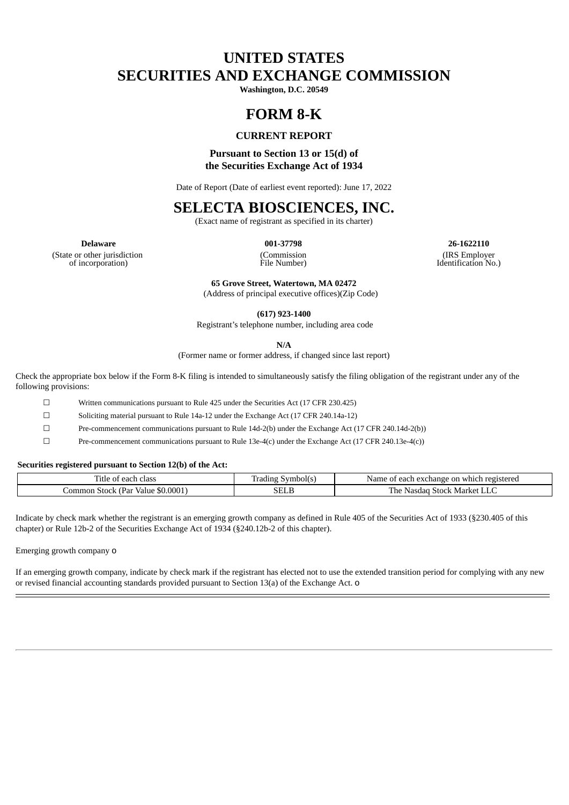# **UNITED STATES SECURITIES AND EXCHANGE COMMISSION**

**Washington, D.C. 20549**

## **FORM 8-K**

### **CURRENT REPORT**

### **Pursuant to Section 13 or 15(d) of the Securities Exchange Act of 1934**

Date of Report (Date of earliest event reported): June 17, 2022

## **SELECTA BIOSCIENCES, INC.**

(Exact name of registrant as specified in its charter)

(Commission

**Delaware 001-37798 26-1622110** (IRS Employer Identification No.)

(State or other jurisdiction of incorporation)

File Number) **65 Grove Street, Watertown, MA 02472**

(Address of principal executive offices)(Zip Code)

**(617) 923-1400**

Registrant's telephone number, including area code

**N/A**

(Former name or former address, if changed since last report)

Check the appropriate box below if the Form 8-K filing is intended to simultaneously satisfy the filing obligation of the registrant under any of the following provisions:

☐ Written communications pursuant to Rule 425 under the Securities Act (17 CFR 230.425)

☐ Soliciting material pursuant to Rule 14a-12 under the Exchange Act (17 CFR 240.14a-12)

☐ Pre-commencement communications pursuant to Rule 14d-2(b) under the Exchange Act (17 CFR 240.14d-2(b))

☐ Pre-commencement communications pursuant to Rule 13e-4(c) under the Exchange Act (17 CFR 240.13e-4(c))

#### **Securities registered pursuant to Section 12(b) of the Act:**

| m.<br>class<br>. itle<br>___<br>.<br>"dl        | abolt<br>1400U     | registerec<br>which<br>Nam<br>rhange:<br>. eac'<br>on<br>$\alpha v$<br>വ.<br>n٥ |
|-------------------------------------------------|--------------------|---------------------------------------------------------------------------------|
| \$0.0001<br>ommon<br>. Par<br>. stoch.<br>Value | $\sim$ $\sim$<br>. | m<br>Market<br>'he<br>Stock<br>JHI.<br>.                                        |

Indicate by check mark whether the registrant is an emerging growth company as defined in Rule 405 of the Securities Act of 1933 (§230.405 of this chapter) or Rule 12b-2 of the Securities Exchange Act of 1934 (§240.12b-2 of this chapter).

Emerging growth company o

If an emerging growth company, indicate by check mark if the registrant has elected not to use the extended transition period for complying with any new or revised financial accounting standards provided pursuant to Section 13(a) of the Exchange Act. o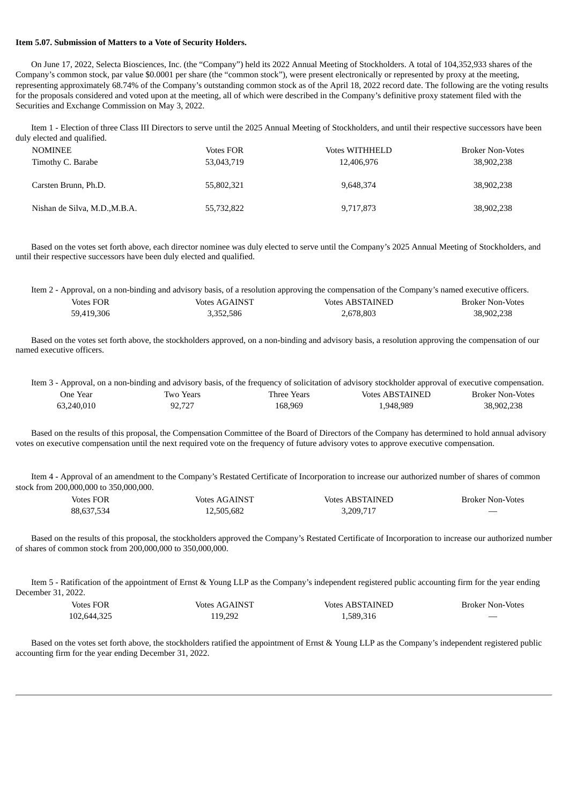#### **Item 5.07. Submission of Matters to a Vote of Security Holders.**

On June 17, 2022, Selecta Biosciences, Inc. (the "Company") held its 2022 Annual Meeting of Stockholders. A total of 104,352,933 shares of the Company's common stock, par value \$0.0001 per share (the "common stock"), were present electronically or represented by proxy at the meeting, representing approximately 68.74% of the Company's outstanding common stock as of the April 18, 2022 record date. The following are the voting results for the proposals considered and voted upon at the meeting, all of which were described in the Company's definitive proxy statement filed with the Securities and Exchange Commission on May 3, 2022.

Item 1 - Election of three Class III Directors to serve until the 2025 Annual Meeting of Stockholders, and until their respective successors have been duly elected and qualified.

| <b>NOMINEE</b>                | Votes FOR  | <b>Votes WITHHELD</b> | <b>Broker Non-Votes</b> |
|-------------------------------|------------|-----------------------|-------------------------|
| Timothy C. Barabe             | 53,043,719 | 12,406,976            | 38,902,238              |
|                               |            |                       |                         |
| Carsten Brunn, Ph.D.          | 55,802,321 | 9.648.374             | 38,902,238              |
|                               |            |                       |                         |
| Nishan de Silva, M.D., M.B.A. | 55,732,822 | 9,717,873             | 38,902,238              |
|                               |            |                       |                         |

Based on the votes set forth above, each director nominee was duly elected to serve until the Company's 2025 Annual Meeting of Stockholders, and until their respective successors have been duly elected and qualified.

| Item 2 - Approval, on a non-binding and advisory basis, of a resolution approving the compensation of the Company's named executive officers. |               |                        |                         |  |
|-----------------------------------------------------------------------------------------------------------------------------------------------|---------------|------------------------|-------------------------|--|
| Votes FOR-                                                                                                                                    | Votes AGAINST | <b>Votes ABSTAINED</b> | <b>Broker Non-Votes</b> |  |
| 59.419.306                                                                                                                                    | 3.352.586     | 2.678.803              | 38,902,238              |  |

Based on the votes set forth above, the stockholders approved, on a non-binding and advisory basis, a resolution approving the compensation of our named executive officers.

|            |           |             | Item 3 - Approval, on a non-binding and advisory basis, of the frequency of solicitation of advisory stockholder approval of executive compensation. |                  |
|------------|-----------|-------------|------------------------------------------------------------------------------------------------------------------------------------------------------|------------------|
| One Year   | Two Years | Three Years | <b>Votes ABSTAINED</b>                                                                                                                               | Broker Non-Votes |
| 63,240,010 | 92,727    | 168.969     | 1.948.989                                                                                                                                            | 38,902,238       |

Based on the results of this proposal, the Compensation Committee of the Board of Directors of the Company has determined to hold annual advisory votes on executive compensation until the next required vote on the frequency of future advisory votes to approve executive compensation.

Item 4 - Approval of an amendment to the Company's Restated Certificate of Incorporation to increase our authorized number of shares of common stock from 200,000,000 to 350,000,000.

| <b>Votes FOR</b> | <b>Votes AGAINST</b> | <b>Votes ABSTAINED</b> | <b>Broker Non-Votes</b>  |
|------------------|----------------------|------------------------|--------------------------|
| 88,637,534       | 12,505,682           | 3,209,717              | $\overline{\phantom{a}}$ |

Based on the results of this proposal, the stockholders approved the Company's Restated Certificate of Incorporation to increase our authorized number of shares of common stock from 200,000,000 to 350,000,000.

Item 5 - Ratification of the appointment of Ernst & Young LLP as the Company's independent registered public accounting firm for the year ending December 31, 2022.

| <b>Votes FOR</b> | <b>Votes AGAINST</b> | <b>Votes ABSTAINED</b> | <b>Broker Non-Votes</b>  |
|------------------|----------------------|------------------------|--------------------------|
| 102,644,325      | 119.292              | 1,589,316              | $\overline{\phantom{a}}$ |

Based on the votes set forth above, the stockholders ratified the appointment of Ernst & Young LLP as the Company's independent registered public accounting firm for the year ending December 31, 2022.